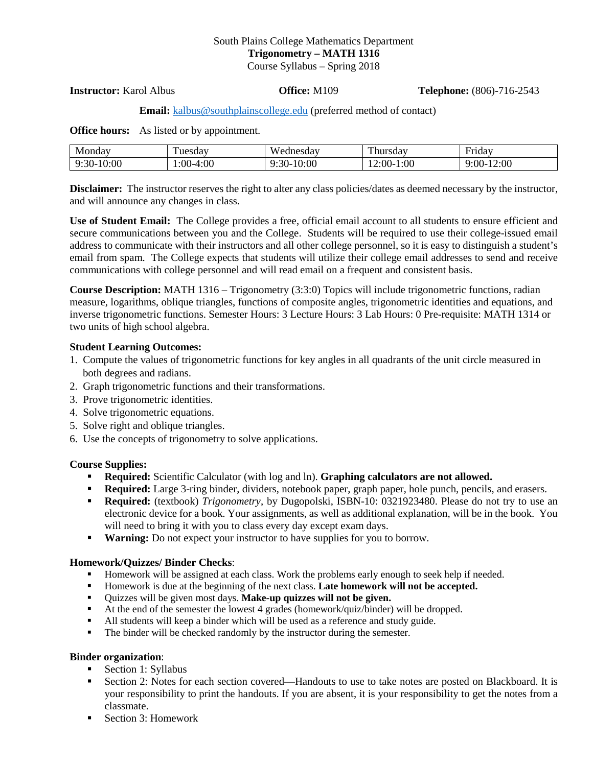# South Plains College Mathematics Department **Trigonometry – MATH 1316**

Course Syllabus – Spring 2018

**Instructor:** Karol Albus **Office:** M109 **Telephone:** (806)-716-2543

# **Email:** [kalbus@southplainscollege.edu](mailto:kalbus@southplainscollege.edu) (preferred method of contact)

**Office hours:** As listed or by appointment.

| Monday               | $\sim$          | ednesday                    | <b>CONTINENT</b>   | $\overline{\phantom{0}}$ |
|----------------------|-----------------|-----------------------------|--------------------|--------------------------|
|                      | uesdav          | w                           | hursdav            | Friday                   |
| 10:00<br>$30-$<br>O٠ | 4:00<br>$:00-4$ | 10:00<br>$\cdot :30-$<br>u. | 1:00<br>2:00<br>п. | 12:00<br>$9:00-1$        |

**Disclaimer:** The instructor reserves the right to alter any class policies/dates as deemed necessary by the instructor, and will announce any changes in class.

**Use of Student Email:** The College provides a free, official email account to all students to ensure efficient and secure communications between you and the College. Students will be required to use their college-issued email address to communicate with their instructors and all other college personnel, so it is easy to distinguish a student's email from spam. The College expects that students will utilize their college email addresses to send and receive communications with college personnel and will read email on a frequent and consistent basis.

**Course Description:** MATH 1316 – Trigonometry (3:3:0) Topics will include trigonometric functions, radian measure, logarithms, oblique triangles, functions of composite angles, trigonometric identities and equations, and inverse trigonometric functions. Semester Hours: 3 Lecture Hours: 3 Lab Hours: 0 Pre-requisite: MATH 1314 or two units of high school algebra.

#### **Student Learning Outcomes:**

- 1. Compute the values of trigonometric functions for key angles in all quadrants of the unit circle measured in both degrees and radians.
- 2. Graph trigonometric functions and their transformations.
- 3. Prove trigonometric identities.
- 4. Solve trigonometric equations.
- 5. Solve right and oblique triangles.
- 6. Use the concepts of trigonometry to solve applications.

# **Course Supplies:**

- **Required:** Scientific Calculator (with log and ln). **Graphing calculators are not allowed.**
- **Required:** Large 3-ring binder, dividers, notebook paper, graph paper, hole punch, pencils, and erasers.
- **Required:** (textbook) *Trigonometry*, by Dugopolski, ISBN-10: 0321923480. Please do not try to use an electronic device for a book. Your assignments, as well as additional explanation, will be in the book. You will need to bring it with you to class every day except exam days.
- **Warning:** Do not expect your instructor to have supplies for you to borrow.

# **Homework/Quizzes/ Binder Checks**:

- Homework will be assigned at each class. Work the problems early enough to seek help if needed.
- Homework is due at the beginning of the next class. Late homework will not be accepted.
- Quizzes will be given most days. **Make-up quizzes will not be given.**
- At the end of the semester the lowest 4 grades (homework/quiz/binder) will be dropped.
- All students will keep a binder which will be used as a reference and study guide.
- The binder will be checked randomly by the instructor during the semester.

# **Binder organization**:

- Section 1: Syllabus
- Section 2: Notes for each section covered—Handouts to use to take notes are posted on Blackboard. It is your responsibility to print the handouts. If you are absent, it is your responsibility to get the notes from a classmate.
- Section 3: Homework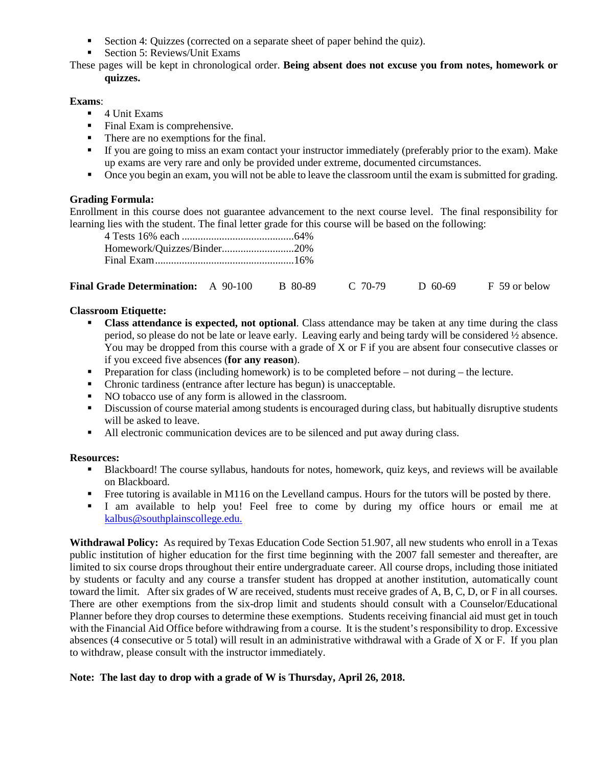- Section 4: Quizzes (corrected on a separate sheet of paper behind the quiz).
- Section 5: Reviews/Unit Exams

These pages will be kept in chronological order. **Being absent does not excuse you from notes, homework or quizzes.**

# **Exams**:

- 4 Unit Exams
- Final Exam is comprehensive.
- There are no exemptions for the final.
- If you are going to miss an exam contact your instructor immediately (preferably prior to the exam). Make up exams are very rare and only be provided under extreme, documented circumstances.
- Once you begin an exam, you will not be able to leave the classroom until the exam is submitted for grading.

# **Grading Formula:**

Enrollment in this course does not guarantee advancement to the next course level. The final responsibility for learning lies with the student. The final letter grade for this course will be based on the following:

| Homework/Quizzes/Binder20% |  |
|----------------------------|--|
|                            |  |

| <b>Final Grade Determination:</b> A 90-100 |  | B 80-89 | $C$ 70-79 | $D$ 60-69 | F 59 or below |
|--------------------------------------------|--|---------|-----------|-----------|---------------|
|--------------------------------------------|--|---------|-----------|-----------|---------------|

# **Classroom Etiquette:**

- **Class attendance is expected, not optional**. Class attendance may be taken at any time during the class period, so please do not be late or leave early. Leaving early and being tardy will be considered ½ absence. You may be dropped from this course with a grade of X or F if you are absent four consecutive classes or if you exceed five absences (**for any reason**).
- **Preparation for class (including homework) is to be completed before not during the lecture.**
- Chronic tardiness (entrance after lecture has begun) is unacceptable.
- NO tobacco use of any form is allowed in the classroom.
- **EXECUTE:** Discussion of course material among students is encouraged during class, but habitually disruptive students will be asked to leave.
- If All electronic communication devices are to be silenced and put away during class.

# **Resources:**

- Blackboard! The course syllabus, handouts for notes, homework, quiz keys, and reviews will be available on Blackboard.
- Free tutoring is available in M116 on the Levelland campus. Hours for the tutors will be posted by there.
- I am available to help you! Feel free to come by during my office hours or email me at [kalbus@southplainscollege.edu.](mailto:kalbus@southplainscollege.edu)

**Withdrawal Policy:** As required by Texas Education Code Section 51.907, all new students who enroll in a Texas public institution of higher education for the first time beginning with the 2007 fall semester and thereafter, are limited to six course drops throughout their entire undergraduate career. All course drops, including those initiated by students or faculty and any course a transfer student has dropped at another institution, automatically count toward the limit. After six grades of W are received, students must receive grades of A, B, C, D, or F in all courses. There are other exemptions from the six-drop limit and students should consult with a Counselor/Educational Planner before they drop courses to determine these exemptions. Students receiving financial aid must get in touch with the Financial Aid Office before withdrawing from a course. It is the student's responsibility to drop. Excessive absences (4 consecutive or 5 total) will result in an administrative withdrawal with a Grade of X or F. If you plan to withdraw, please consult with the instructor immediately.

# **Note: The last day to drop with a grade of W is Thursday, April 26, 2018.**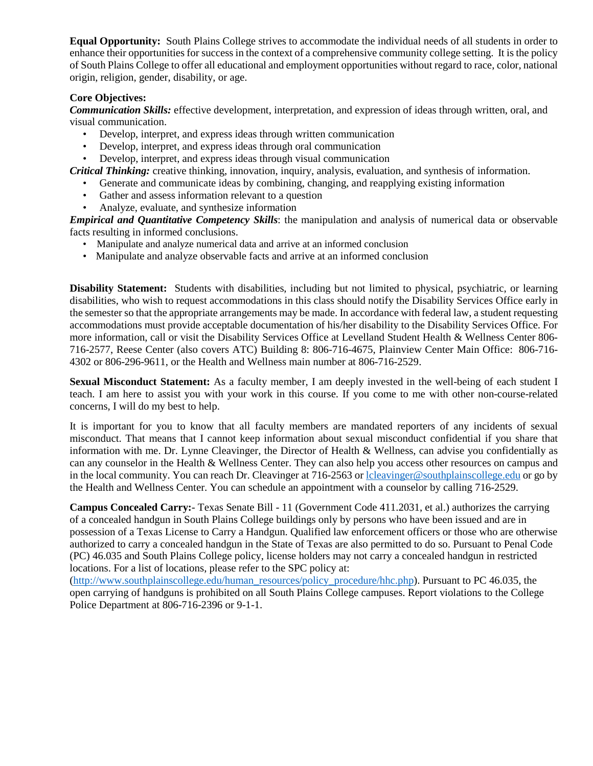**Equal Opportunity:** South Plains College strives to accommodate the individual needs of all students in order to enhance their opportunities for success in the context of a comprehensive community college setting. It is the policy of South Plains College to offer all educational and employment opportunities without regard to race, color, national origin, religion, gender, disability, or age.

# **Core Objectives:**

*Communication Skills:* effective development, interpretation, and expression of ideas through written, oral, and visual communication.

- Develop, interpret, and express ideas through written communication
- Develop, interpret, and express ideas through oral communication
- Develop, interpret, and express ideas through visual communication

*Critical Thinking:* creative thinking, innovation, inquiry, analysis, evaluation, and synthesis of information.

- Generate and communicate ideas by combining, changing, and reapplying existing information
- Gather and assess information relevant to a question
- Analyze, evaluate, and synthesize information

*Empirical and Quantitative Competency Skills*: the manipulation and analysis of numerical data or observable facts resulting in informed conclusions.

- Manipulate and analyze numerical data and arrive at an informed conclusion
- Manipulate and analyze observable facts and arrive at an informed conclusion

**Disability Statement:** Students with disabilities, including but not limited to physical, psychiatric, or learning disabilities, who wish to request accommodations in this class should notify the Disability Services Office early in the semester so that the appropriate arrangements may be made. In accordance with federal law, a student requesting accommodations must provide acceptable documentation of his/her disability to the Disability Services Office. For more information, call or visit the Disability Services Office at Levelland Student Health & Wellness Center 806- 716-2577, Reese Center (also covers ATC) Building 8: 806-716-4675, Plainview Center Main Office: 806-716- 4302 or 806-296-9611, or the Health and Wellness main number at 806-716-2529.

**Sexual Misconduct Statement:** As a faculty member, I am deeply invested in the well-being of each student I teach. I am here to assist you with your work in this course. If you come to me with other non-course-related concerns, I will do my best to help.

It is important for you to know that all faculty members are mandated reporters of any incidents of sexual misconduct. That means that I cannot keep information about sexual misconduct confidential if you share that information with me. Dr. Lynne Cleavinger, the Director of Health & Wellness, can advise you confidentially as can any counselor in the Health & Wellness Center. They can also help you access other resources on campus and in the local community. You can reach Dr. Cleavinger at 716-2563 or [lcleavinger@southplainscollege.edu](mailto:lcleavinger@southplainscollege.edu) or go by the Health and Wellness Center. You can schedule an appointment with a counselor by calling 716-2529.

**Campus Concealed Carry:**- Texas Senate Bill - 11 (Government Code 411.2031, et al.) authorizes the carrying of a concealed handgun in South Plains College buildings only by persons who have been issued and are in possession of a Texas License to Carry a Handgun. Qualified law enforcement officers or those who are otherwise authorized to carry a concealed handgun in the State of Texas are also permitted to do so. Pursuant to Penal Code (PC) 46.035 and South Plains College policy, license holders may not carry a concealed handgun in restricted locations. For a list of locations, please refer to the SPC policy at:

[\(http://www.southplainscollege.edu/human\\_resources/policy\\_procedure/hhc.php\)](http://www.southplainscollege.edu/human_resources/policy_procedure/hhc.php). Pursuant to PC 46.035, the open carrying of handguns is prohibited on all South Plains College campuses. Report violations to the College Police Department at 806-716-2396 or 9-1-1.